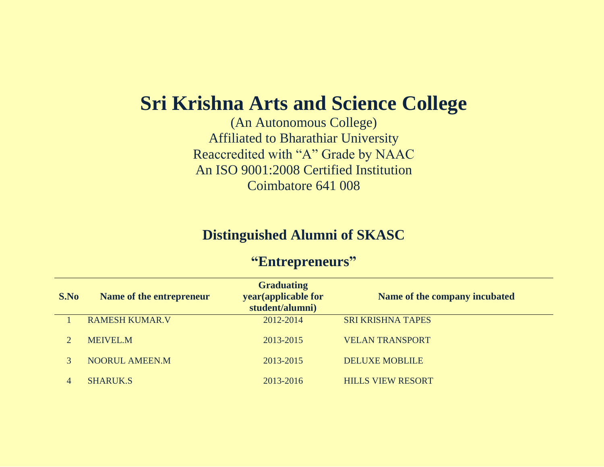## **Sri Krishna Arts and Science College**

(An Autonomous College) Affiliated to Bharathiar University Reaccredited with "A" Grade by NAAC An ISO 9001:2008 Certified Institution Coimbatore 641 008

## **Distinguished Alumni of SKASC**

## **"Entrepreneurs"**

| S.No | Name of the entrepreneur | <b>Graduating</b><br>year (applicable for<br>student/alumni) | Name of the company incubated |
|------|--------------------------|--------------------------------------------------------------|-------------------------------|
|      | <b>RAMESH KUMAR.V</b>    | 2012-2014                                                    | <b>SRI KRISHNA TAPES</b>      |
|      | <b>MEIVEL.M</b>          | 2013-2015                                                    | <b>VELAN TRANSPORT</b>        |
|      | <b>NOORUL AMEEN.M</b>    | 2013-2015                                                    | <b>DELUXE MOBLILE</b>         |
|      | <b>SHARUK.S</b>          | 2013-2016                                                    | <b>HILLS VIEW RESORT</b>      |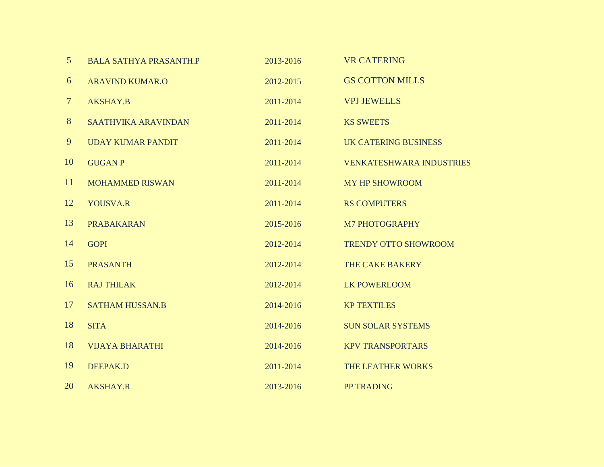| 5              | <b>BALA SATHYA PRASANTH.P</b> | 2013-2016 | <b>VR CATERING</b>              |
|----------------|-------------------------------|-----------|---------------------------------|
| 6              | <b>ARAVIND KUMAR.O</b>        | 2012-2015 | <b>GS COTTON MILLS</b>          |
| $\overline{7}$ | <b>AKSHAY.B</b>               | 2011-2014 | <b>VPJ JEWELLS</b>              |
| 8              | <b>SAATHVIKA ARAVINDAN</b>    | 2011-2014 | <b>KS SWEETS</b>                |
| 9              | <b>UDAY KUMAR PANDIT</b>      | 2011-2014 | <b>UK CATERING BUSINESS</b>     |
| 10             | <b>GUGAN P</b>                | 2011-2014 | <b>VENKATESHWARA INDUSTRIES</b> |
| 11             | <b>MOHAMMED RISWAN</b>        | 2011-2014 | <b>MY HP SHOWROOM</b>           |
| 12             | <b>YOUSVA.R</b>               | 2011-2014 | <b>RS COMPUTERS</b>             |
| 13             | <b>PRABAKARAN</b>             | 2015-2016 | M7 PHOTOGRAPHY                  |
| 14             | <b>GOPI</b>                   | 2012-2014 | <b>TRENDY OTTO SHOWROOM</b>     |
| 15             | <b>PRASANTH</b>               | 2012-2014 | THE CAKE BAKERY                 |
| 16             | <b>RAJ THILAK</b>             | 2012-2014 | <b>LK POWERLOOM</b>             |
| 17             | <b>SATHAM HUSSAN.B</b>        | 2014-2016 | <b>KP TEXTILES</b>              |
| 18             | <b>SITA</b>                   | 2014-2016 | <b>SUN SOLAR SYSTEMS</b>        |
| 18             | <b>VIJAYA BHARATHI</b>        | 2014-2016 | <b>KPV TRANSPORTARS</b>         |
| 19             | <b>DEEPAK.D</b>               | 2011-2014 | THE LEATHER WORKS               |
| 20             | <b>AKSHAY.R</b>               | 2013-2016 | PP TRADING                      |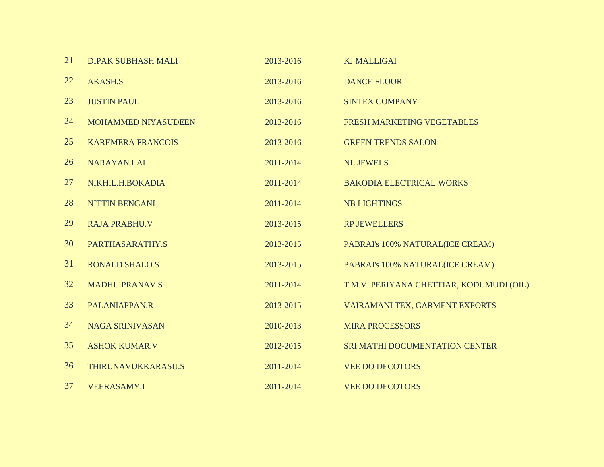| 21 | <b>DIPAK SUBHASH MALI</b>  | 2013-2016 | <b>KJ MALLIGAI</b>                       |
|----|----------------------------|-----------|------------------------------------------|
| 22 | <b>AKASH.S</b>             | 2013-2016 | <b>DANCE FLOOR</b>                       |
| 23 | <b>JUSTIN PAUL</b>         | 2013-2016 | <b>SINTEX COMPANY</b>                    |
| 24 | <b>MOHAMMED NIYASUDEEN</b> | 2013-2016 | FRESH MARKETING VEGETABLES               |
| 25 | <b>KAREMERA FRANCOIS</b>   | 2013-2016 | <b>GREEN TRENDS SALON</b>                |
| 26 | <b>NARAYAN LAL</b>         | 2011-2014 | <b>NL JEWELS</b>                         |
| 27 | NIKHIL.H.BOKADIA           | 2011-2014 | <b>BAKODIA ELECTRICAL WORKS</b>          |
| 28 | <b>NITTIN BENGANI</b>      | 2011-2014 | <b>NB LIGHTINGS</b>                      |
| 29 | <b>RAJA PRABHU.V</b>       | 2013-2015 | <b>RP JEWELLERS</b>                      |
| 30 | PARTHASARATHY.S            | 2013-2015 | PABRAI's 100% NATURAL(ICE CREAM)         |
| 31 | <b>RONALD SHALO.S</b>      | 2013-2015 | PABRAI's 100% NATURAL(ICE CREAM)         |
| 32 | <b>MADHU PRANAV.S</b>      | 2011-2014 | T.M.V. PERIYANA CHETTIAR, KODUMUDI (OIL) |
| 33 | PALANIAPPAN.R              | 2013-2015 | VAIRAMANI TEX, GARMENT EXPORTS           |
| 34 | <b>NAGA SRINIVASAN</b>     | 2010-2013 | <b>MIRA PROCESSORS</b>                   |
| 35 | <b>ASHOK KUMAR.V</b>       | 2012-2015 | SRI MATHI DOCUMENTATION CENTER           |
| 36 | THIRUNAVUKKARASU.S         | 2011-2014 | <b>VEE DO DECOTORS</b>                   |
| 37 | <b>VEERASAMY.I</b>         | 2011-2014 | <b>VEE DO DECOTORS</b>                   |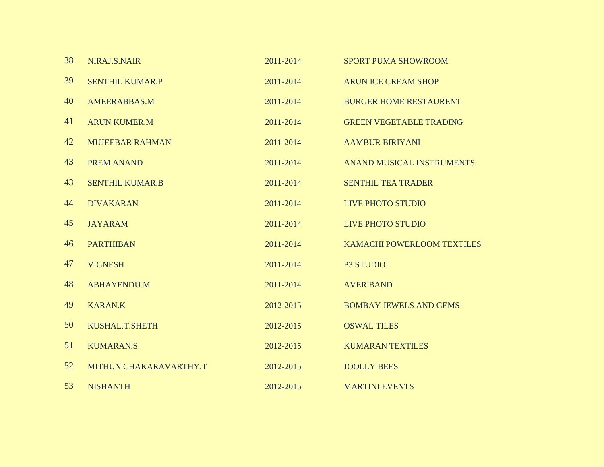| 38 | NIRAJ.S.NAIR           | 2011-2014 | <b>SPORT PUMA SHOWROOM</b>       |
|----|------------------------|-----------|----------------------------------|
| 39 | <b>SENTHIL KUMAR.P</b> | 2011-2014 | <b>ARUN ICE CREAM SHOP</b>       |
| 40 | <b>AMEERABBAS.M</b>    | 2011-2014 | <b>BURGER HOME RESTAURENT</b>    |
| 41 | <b>ARUN KUMER.M</b>    | 2011-2014 | <b>GREEN VEGETABLE TRADING</b>   |
| 42 | <b>MUJEEBAR RAHMAN</b> | 2011-2014 | <b>AAMBUR BIRIYANI</b>           |
| 43 | <b>PREM ANAND</b>      | 2011-2014 | <b>ANAND MUSICAL INSTRUMENTS</b> |
| 43 | <b>SENTHIL KUMAR.B</b> | 2011-2014 | <b>SENTHIL TEA TRADER</b>        |
| 44 | <b>DIVAKARAN</b>       | 2011-2014 | <b>LIVE PHOTO STUDIO</b>         |
| 45 | <b>JAYARAM</b>         | 2011-2014 | <b>LIVE PHOTO STUDIO</b>         |
| 46 | <b>PARTHIBAN</b>       | 2011-2014 | KAMACHI POWERLOOM TEXTILES       |
| 47 | <b>VIGNESH</b>         | 2011-2014 | P3 STUDIO                        |
| 48 | <b>ABHAYENDU.M</b>     | 2011-2014 | <b>AVER BAND</b>                 |
| 49 | <b>KARAN.K</b>         | 2012-2015 | <b>BOMBAY JEWELS AND GEMS</b>    |
| 50 | KUSHAL.T.SHETH         | 2012-2015 | <b>OSWAL TILES</b>               |
| 51 | <b>KUMARAN.S</b>       | 2012-2015 | <b>KUMARAN TEXTILES</b>          |
| 52 | MITHUN CHAKARAVARTHY.T | 2012-2015 | <b>JOOLLY BEES</b>               |
| 53 | <b>NISHANTH</b>        | 2012-2015 | <b>MARTINI EVENTS</b>            |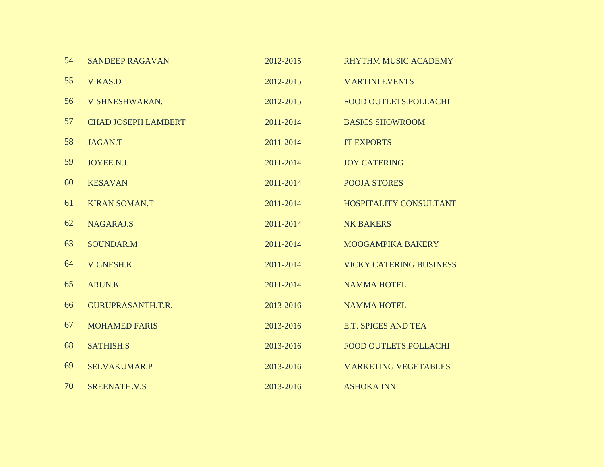| 54 | <b>SANDEEP RAGAVAN</b>     | 2012-2015 | <b>RHYTHM MUSIC ACADEMY</b>    |
|----|----------------------------|-----------|--------------------------------|
| 55 | <b>VIKAS.D</b>             | 2012-2015 | <b>MARTINI EVENTS</b>          |
| 56 | VISHNESHWARAN.             | 2012-2015 | <b>FOOD OUTLETS.POLLACHI</b>   |
| 57 | <b>CHAD JOSEPH LAMBERT</b> | 2011-2014 | <b>BASICS SHOWROOM</b>         |
| 58 | <b>JAGAN.T</b>             | 2011-2014 | <b>JT EXPORTS</b>              |
| 59 | JOYEE.N.J.                 | 2011-2014 | <b>JOY CATERING</b>            |
| 60 | <b>KESAVAN</b>             | 2011-2014 | <b>POOJA STORES</b>            |
| 61 | <b>KIRAN SOMAN.T</b>       | 2011-2014 | HOSPITALITY CONSULTANT         |
| 62 | <b>NAGARAJ.S</b>           | 2011-2014 | <b>NK BAKERS</b>               |
| 63 | <b>SOUNDAR.M</b>           | 2011-2014 | <b>MOOGAMPIKA BAKERY</b>       |
| 64 | <b>VIGNESH.K</b>           | 2011-2014 | <b>VICKY CATERING BUSINESS</b> |
| 65 | <b>ARUN.K</b>              | 2011-2014 | <b>NAMMA HOTEL</b>             |
| 66 | GURUPRASANTH.T.R.          | 2013-2016 | <b>NAMMA HOTEL</b>             |
| 67 | <b>MOHAMED FARIS</b>       | 2013-2016 | <b>E.T. SPICES AND TEA</b>     |
| 68 | <b>SATHISH.S</b>           | 2013-2016 | <b>FOOD OUTLETS.POLLACHI</b>   |
| 69 | <b>SELVAKUMAR.P</b>        | 2013-2016 | <b>MARKETING VEGETABLES</b>    |
| 70 | SREENATH.V.S               | 2013-2016 | <b>ASHOKA INN</b>              |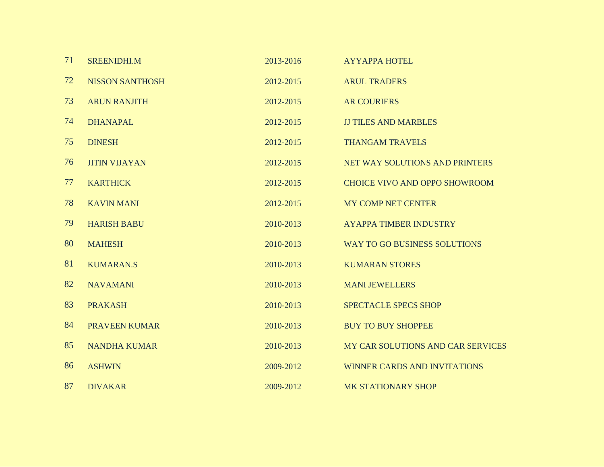| 71 | <b>SREENIDHI.M</b>     | 2013-2016 | <b>AYYAPPA HOTEL</b>                 |
|----|------------------------|-----------|--------------------------------------|
| 72 | <b>NISSON SANTHOSH</b> | 2012-2015 | <b>ARUL TRADERS</b>                  |
| 73 | <b>ARUN RANJITH</b>    | 2012-2015 | <b>AR COURIERS</b>                   |
| 74 | <b>DHANAPAL</b>        | 2012-2015 | <b>JJ TILES AND MARBLES</b>          |
| 75 | <b>DINESH</b>          | 2012-2015 | <b>THANGAM TRAVELS</b>               |
| 76 | <b>JITIN VIJAYAN</b>   | 2012-2015 | NET WAY SOLUTIONS AND PRINTERS       |
| 77 | <b>KARTHICK</b>        | 2012-2015 | <b>CHOICE VIVO AND OPPO SHOWROOM</b> |
| 78 | <b>KAVIN MANI</b>      | 2012-2015 | <b>MY COMP NET CENTER</b>            |
| 79 | <b>HARISH BABU</b>     | 2010-2013 | <b>AYAPPA TIMBER INDUSTRY</b>        |
| 80 | <b>MAHESH</b>          | 2010-2013 | WAY TO GO BUSINESS SOLUTIONS         |
| 81 | <b>KUMARAN.S</b>       | 2010-2013 | <b>KUMARAN STORES</b>                |
| 82 | <b>NAVAMANI</b>        | 2010-2013 | <b>MANI JEWELLERS</b>                |
| 83 | <b>PRAKASH</b>         | 2010-2013 | <b>SPECTACLE SPECS SHOP</b>          |
| 84 | <b>PRAVEEN KUMAR</b>   | 2010-2013 | <b>BUY TO BUY SHOPPEE</b>            |
| 85 | <b>NANDHA KUMAR</b>    | 2010-2013 | MY CAR SOLUTIONS AND CAR SERVICES    |
| 86 | <b>ASHWIN</b>          | 2009-2012 | <b>WINNER CARDS AND INVITATIONS</b>  |
| 87 | <b>DIVAKAR</b>         | 2009-2012 | <b>MK STATIONARY SHOP</b>            |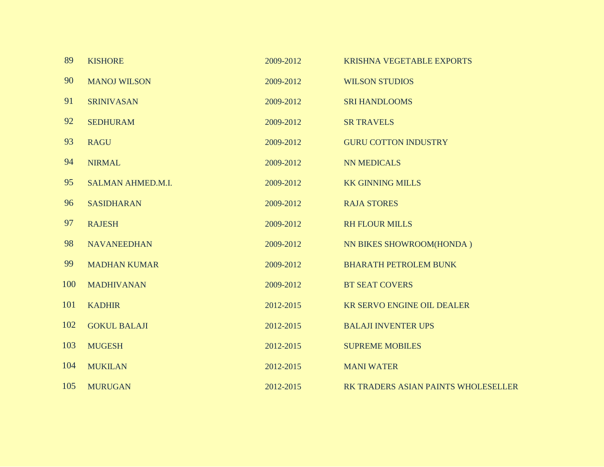| 89  | <b>KISHORE</b>           | 2009-2012 | <b>KRISHNA VEGETABLE EXPORTS</b>    |
|-----|--------------------------|-----------|-------------------------------------|
| 90  | <b>MANOJ WILSON</b>      | 2009-2012 | <b>WILSON STUDIOS</b>               |
| 91  | <b>SRINIVASAN</b>        | 2009-2012 | <b>SRI HANDLOOMS</b>                |
| 92  | <b>SEDHURAM</b>          | 2009-2012 | <b>SR TRAVELS</b>                   |
| 93  | <b>RAGU</b>              | 2009-2012 | <b>GURU COTTON INDUSTRY</b>         |
| 94  | <b>NIRMAL</b>            | 2009-2012 | <b>NN MEDICALS</b>                  |
| 95  | <b>SALMAN AHMED.M.I.</b> | 2009-2012 | <b>KK GINNING MILLS</b>             |
| 96  | <b>SASIDHARAN</b>        | 2009-2012 | <b>RAJA STORES</b>                  |
| 97  | <b>RAJESH</b>            | 2009-2012 | <b>RH FLOUR MILLS</b>               |
| 98  | <b>NAVANEEDHAN</b>       | 2009-2012 | NN BIKES SHOWROOM(HONDA)            |
| 99  | <b>MADHAN KUMAR</b>      | 2009-2012 | <b>BHARATH PETROLEM BUNK</b>        |
| 100 | <b>MADHIVANAN</b>        | 2009-2012 | <b>BT SEAT COVERS</b>               |
| 101 | <b>KADHIR</b>            | 2012-2015 | <b>KR SERVO ENGINE OIL DEALER</b>   |
| 102 | <b>GOKUL BALAJI</b>      | 2012-2015 | <b>BALAJI INVENTER UPS</b>          |
| 103 | <b>MUGESH</b>            | 2012-2015 | <b>SUPREME MOBILES</b>              |
| 104 | <b>MUKILAN</b>           | 2012-2015 | <b>MANI WATER</b>                   |
| 105 | <b>MURUGAN</b>           | 2012-2015 | RK TRADERS ASIAN PAINTS WHOLESELLER |